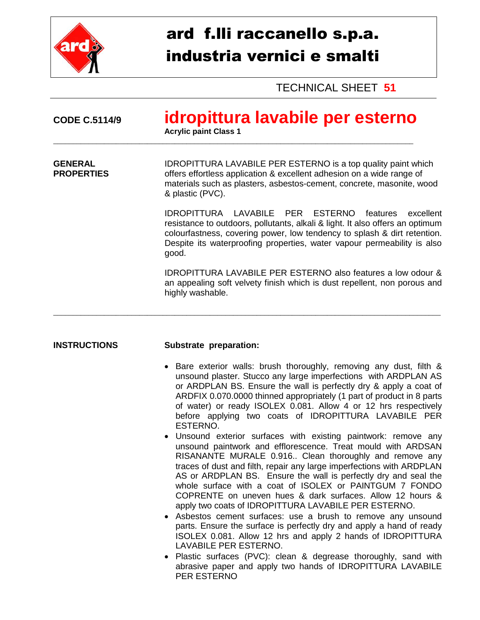

# ard f.lli raccanello s.p.a. industria vernici e smalti

TECHNICAL SHEET **51**

| <b>CODE C.5114/9</b>                | idropittura lavabile per esterno<br><b>Acrylic paint Class 1</b>                                                                                                                                                                                                                                        |  |
|-------------------------------------|---------------------------------------------------------------------------------------------------------------------------------------------------------------------------------------------------------------------------------------------------------------------------------------------------------|--|
| <b>GENERAL</b><br><b>PROPERTIES</b> | <b>IDROPITTURA LAVABILE PER ESTERNO</b> is a top quality paint which<br>offers effortless application & excellent adhesion on a wide range of<br>materials such as plasters, asbestos-cement, concrete, masonite, wood<br>& plastic (PVC).                                                              |  |
|                                     | IDROPITTURA LAVABILE PER ESTERNO<br>features excellent<br>resistance to outdoors, pollutants, alkali & light. It also offers an optimum<br>colourfastness, covering power, low tendency to splash & dirt retention.<br>Despite its waterproofing properties, water vapour permeability is also<br>good. |  |
|                                     | <b>IDROPITTURA LAVABILE PER ESTERNO also features a low odour &amp;</b><br>an appealing soft velvety finish which is dust repellent, non porous and<br>highly washable.                                                                                                                                 |  |

#### **INSTRUCTIONS Substrate preparation:**

- Bare exterior walls: brush thoroughly, removing any dust, filth & unsound plaster. Stucco any large imperfections with ARDPLAN AS or ARDPLAN BS. Ensure the wall is perfectly dry & apply a coat of ARDFIX 0.070.0000 thinned appropriately (1 part of product in 8 parts of water) or ready ISOLEX 0.081. Allow 4 or 12 hrs respectively before applying two coats of IDROPITTURA LAVABILE PER ESTERNO.
- Unsound exterior surfaces with existing paintwork: remove any unsound paintwork and efflorescence. Treat mould with ARDSAN RISANANTE MURALE 0.916.. Clean thoroughly and remove any traces of dust and filth, repair any large imperfections with ARDPLAN AS or ARDPLAN BS. Ensure the wall is perfectly dry and seal the whole surface with a coat of ISOLEX or PAINTGUM 7 FONDO COPRENTE on uneven hues & dark surfaces. Allow 12 hours & apply two coats of IDROPITTURA LAVABILE PER ESTERNO.
- Asbestos cement surfaces: use a brush to remove any unsound parts. Ensure the surface is perfectly dry and apply a hand of ready ISOLEX 0.081. Allow 12 hrs and apply 2 hands of IDROPITTURA LAVABILE PER ESTERNO.
- Plastic surfaces (PVC): clean & degrease thoroughly, sand with abrasive paper and apply two hands of IDROPITTURA LAVABILE PER ESTERNO